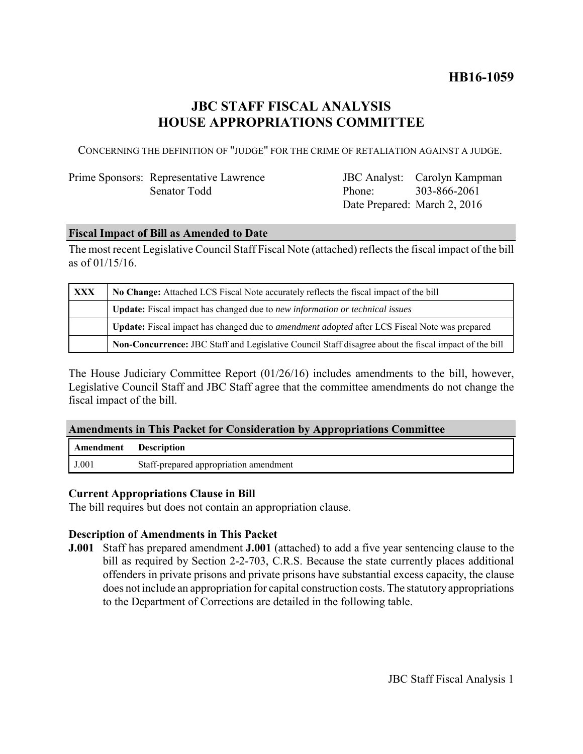# **HB16-1059**

# **JBC STAFF FISCAL ANALYSIS HOUSE APPROPRIATIONS COMMITTEE**

CONCERNING THE DEFINITION OF "JUDGE" FOR THE CRIME OF RETALIATION AGAINST A JUDGE.

## Prime Sponsors: Representative Lawrence Senator Todd

JBC Analyst: Carolyn Kampman Phone: Date Prepared: March 2, 2016 303-866-2061

### **Fiscal Impact of Bill as Amended to Date**

The most recent Legislative Council Staff Fiscal Note (attached) reflects the fiscal impact of the bill as of 01/15/16.

| <b>XXX</b> | No Change: Attached LCS Fiscal Note accurately reflects the fiscal impact of the bill                 |  |
|------------|-------------------------------------------------------------------------------------------------------|--|
|            | Update: Fiscal impact has changed due to new information or technical issues                          |  |
|            | Update: Fiscal impact has changed due to <i>amendment adopted</i> after LCS Fiscal Note was prepared  |  |
|            | Non-Concurrence: JBC Staff and Legislative Council Staff disagree about the fiscal impact of the bill |  |

The House Judiciary Committee Report (01/26/16) includes amendments to the bill, however, Legislative Council Staff and JBC Staff agree that the committee amendments do not change the fiscal impact of the bill.

### **Amendments in This Packet for Consideration by Appropriations Committee**

| Amendment | <b>Description</b>                     |
|-----------|----------------------------------------|
| J.001     | Staff-prepared appropriation amendment |

### **Current Appropriations Clause in Bill**

The bill requires but does not contain an appropriation clause.

### **Description of Amendments in This Packet**

**J.001** Staff has prepared amendment **J.001** (attached) to add a five year sentencing clause to the bill as required by Section 2-2-703, C.R.S. Because the state currently places additional offenders in private prisons and private prisons have substantial excess capacity, the clause does not include an appropriation for capital construction costs. The statutory appropriations to the Department of Corrections are detailed in the following table.